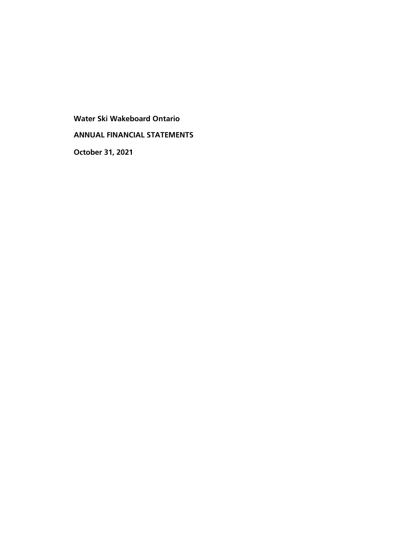**Water Ski Wakeboard Ontario ANNUAL FINANCIAL STATEMENTS October 31, 2021**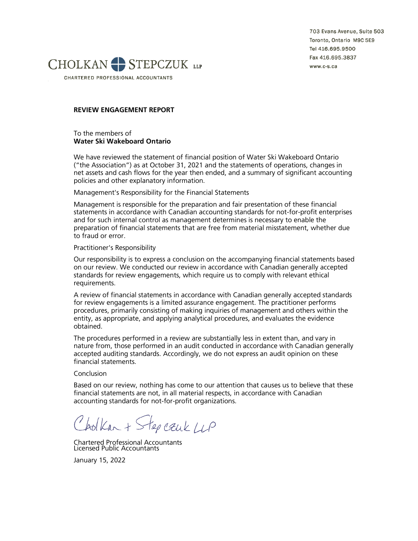703 Evans Avenue, Suite 503 Toronto, Ontario M9C 5E9 Tel 416.695.9500 Fax 416.695.3837 www.c-s.ca



CHARTERED PROFESSIONAL ACCOUNTANTS

## **REVIEW ENGAGEMENT REPORT**

To the members of **Water Ski Wakeboard Ontario**

We have reviewed the statement of financial position of Water Ski Wakeboard Ontario ("the Association") as at October 31, 2021 and the statements of operations, changes in net assets and cash flows for the year then ended, and a summary of significant accounting policies and other explanatory information.

Management's Responsibility for the Financial Statements

Management is responsible for the preparation and fair presentation of these financial statements in accordance with Canadian accounting standards for not-for-profit enterprises and for such internal control as management determines is necessary to enable the preparation of financial statements that are free from material misstatement, whether due to fraud or error.

Practitioner's Responsibility

Our responsibility is to express a conclusion on the accompanying financial statements based on our review. We conducted our review in accordance with Canadian generally accepted standards for review engagements, which require us to comply with relevant ethical requirements.

A review of financial statements in accordance with Canadian generally accepted standards for review engagements is a limited assurance engagement. The practitioner performs procedures, primarily consisting of making inquiries of management and others within the entity, as appropriate, and applying analytical procedures, and evaluates the evidence obtained.

The procedures performed in a review are substantially less in extent than, and vary in nature from, those performed in an audit conducted in accordance with Canadian generally accepted auditing standards. Accordingly, we do not express an audit opinion on these financial statements.

Conclusion

Based on our review, nothing has come to our attention that causes us to believe that these financial statements are not, in all material respects, in accordance with Canadian accounting standards for not-for-profit organizations.

Cholkan + Step cauk LLP

Chartered Professional Accountants Licensed Public Accountants

January 15, 2022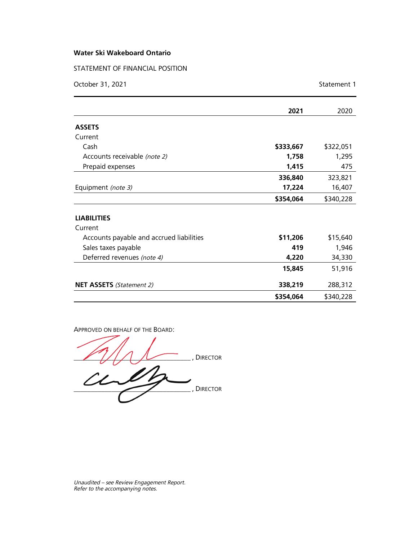STATEMENT OF FINANCIAL POSITION

| October 31, 2021                         |           | Statement 1 |
|------------------------------------------|-----------|-------------|
|                                          | 2021      | 2020        |
| <b>ASSETS</b>                            |           |             |
| Current                                  |           |             |
| Cash                                     | \$333,667 | \$322,051   |
| Accounts receivable (note 2)             | 1,758     | 1,295       |
| Prepaid expenses                         | 1,415     | 475         |
|                                          | 336,840   | 323,821     |
| Equipment (note 3)                       | 17,224    | 16,407      |
|                                          | \$354,064 | \$340,228   |
| <b>LIABILITIES</b>                       |           |             |
| Current                                  |           |             |
| Accounts payable and accrued liabilities | \$11,206  | \$15,640    |
| Sales taxes payable                      | 419       | 1,946       |
| Deferred revenues (note 4)               | 4,220     | 34,330      |
|                                          | 15,845    | 51,916      |
| <b>NET ASSETS</b> (Statement 2)          | 338,219   | 288,312     |
|                                          | \$354,064 | \$340,228   |

APPROVED ON BEHALF OF THE BOARD:

\_\_\_\_\_\_\_\_\_\_\_\_\_\_\_\_\_\_\_\_\_\_\_\_\_\_\_\_\_\_\_\_\_\_ , DIRECTOR  $\omega_\text{p}$ 

Unaudited – see Review Engagement Report. Refer to the accompanying notes.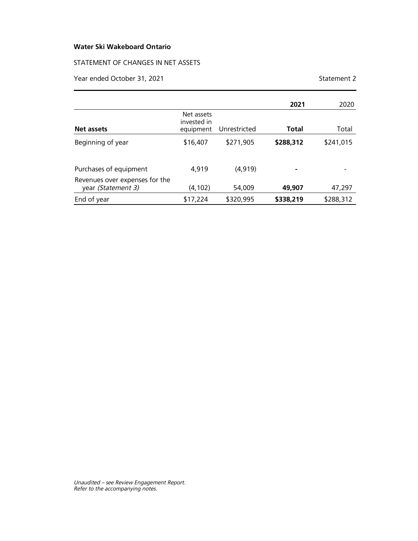## STATEMENT OF CHANGES IN NET ASSETS

Year ended October 31, 2021 Statement 2

|                                                      |                                        |              | 2021      | 2020      |
|------------------------------------------------------|----------------------------------------|--------------|-----------|-----------|
| Net assets                                           | Net assets<br>invested in<br>equipment | Unrestricted | Total     | Total     |
| Beginning of year                                    | \$16,407                               | \$271,905    | \$288,312 | \$241,015 |
| Purchases of equipment                               | 4,919                                  | (4, 919)     |           |           |
| Revenues over expenses for the<br>year (Statement 3) | (4,102)                                | 54,009       | 49,907    | 47,297    |
| End of year                                          | \$17,224                               | \$320,995    | \$338,219 | \$288,312 |

Unaudited – see Review Engagement Report. Refer to the accompanying notes.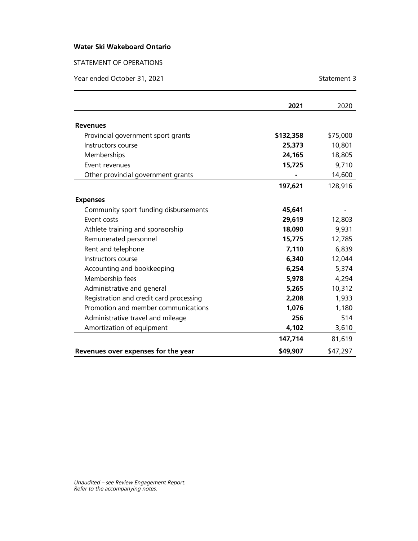## STATEMENT OF OPERATIONS

Year ended October 31, 2021 Statement 3

|                                         | 2021      | 2020     |
|-----------------------------------------|-----------|----------|
| <b>Revenues</b>                         |           |          |
| Provincial government sport grants      | \$132,358 | \$75,000 |
| Instructors course                      | 25,373    | 10,801   |
| Memberships                             | 24,165    | 18,805   |
| Event revenues                          | 15,725    | 9,710    |
| Other provincial government grants      |           | 14,600   |
|                                         | 197,621   | 128,916  |
| <b>Expenses</b>                         |           |          |
| Community sport funding disbursements   | 45,641    |          |
| <b>Fvent costs</b>                      | 29,619    | 12,803   |
| Athlete training and sponsorship        | 18,090    | 9,931    |
| Remunerated personnel                   | 15,775    | 12,785   |
| Rent and telephone                      | 7,110     | 6,839    |
| Instructors course                      | 6,340     | 12,044   |
| Accounting and bookkeeping              | 6,254     | 5,374    |
| Membership fees                         | 5,978     | 4,294    |
| Administrative and general              | 5,265     | 10,312   |
| Registration and credit card processing | 2,208     | 1,933    |
| Promotion and member communications     | 1,076     | 1,180    |
| Administrative travel and mileage       | 256       | 514      |
| Amortization of equipment               | 4,102     | 3,610    |
|                                         | 147,714   | 81,619   |
| Revenues over expenses for the year     | \$49,907  | \$47,297 |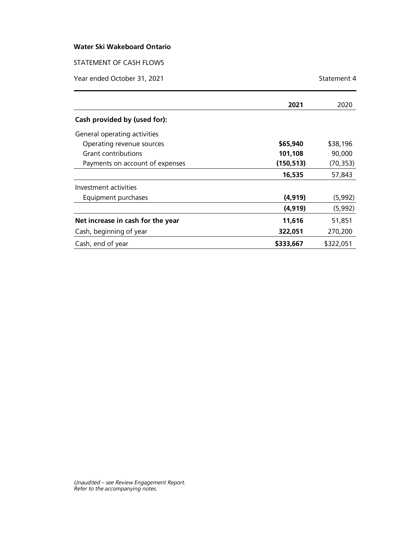STATEMENT OF CASH FLOWS

Year ended October 31, 2021 Statement 4

|                                   | 2021       | 2020      |
|-----------------------------------|------------|-----------|
| Cash provided by (used for):      |            |           |
| General operating activities      |            |           |
| Operating revenue sources         | \$65,940   | \$38,196  |
| Grant contributions               | 101,108    | 90,000    |
| Payments on account of expenses   | (150, 513) | (70, 353) |
|                                   | 16,535     | 57,843    |
| Investment activities             |            |           |
| Equipment purchases               | (4, 919)   | (5,992)   |
|                                   | (4, 919)   | (5,992)   |
| Net increase in cash for the year | 11,616     | 51,851    |
| Cash, beginning of year           | 322,051    | 270,200   |
| Cash, end of year                 | \$333,667  | \$322,051 |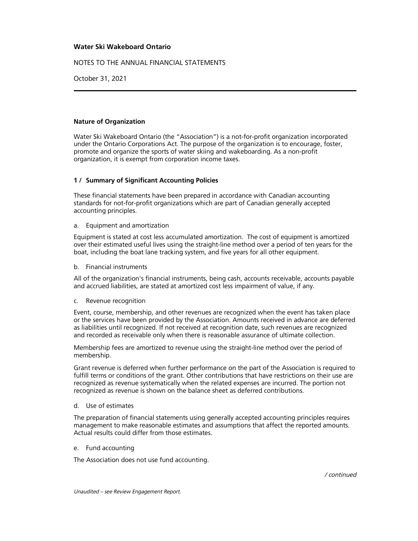NOTES TO THE ANNUAL FINANCIAL STATEMENTS

October 31, 2021

## **Nature of Organization**

Water Ski Wakeboard Ontario (the "Association") is a not-for-profit organization incorporated under the Ontario Corporations Act. The purpose of the organization is to encourage, foster, promote and organize the sports of water skiing and wakeboarding. As a non-profit organization, it is exempt from corporation income taxes.

## **1 / Summary of Significant Accounting Policies**

These financial statements have been prepared in accordance with Canadian accounting standards for not-for-profit organizations which are part of Canadian generally accepted accounting principles.

### a. Equipment and amortization

Equipment is stated at cost less accumulated amortization. The cost of equipment is amortized over their estimated useful lives using the straight-line method over a period of ten years for the boat, including the boat lane tracking system, and five years for all other equipment.

b. Financial instruments

All of the organization's financial instruments, being cash, accounts receivable, accounts payable and accrued liabilities, are stated at amortized cost less impairment of value, if any.

#### c. Revenue recognition

Event, course, membership, and other revenues are recognized when the event has taken place or the services have been provided by the Association. Amounts received in advance are deferred as liabilities until recognized. If not received at recognition date, such revenues are recognized and recorded as receivable only when there is reasonable assurance of ultimate collection.

Membership fees are amortized to revenue using the straight-line method over the period of membership.

Grant revenue is deferred when further performance on the part of the Association is required to fulfill terms or conditions of the grant. Other contributions that have restrictions on their use are recognized as revenue systematically when the related expenses are incurred. The portion not recognized as revenue is shown on the balance sheet as deferred contributions.

#### d. Use of estimates

The preparation of financial statements using generally accepted accounting principles requires management to make reasonable estimates and assumptions that affect the reported amounts. Actual results could differ from those estimates.

e. Fund accounting

The Association does not use fund accounting.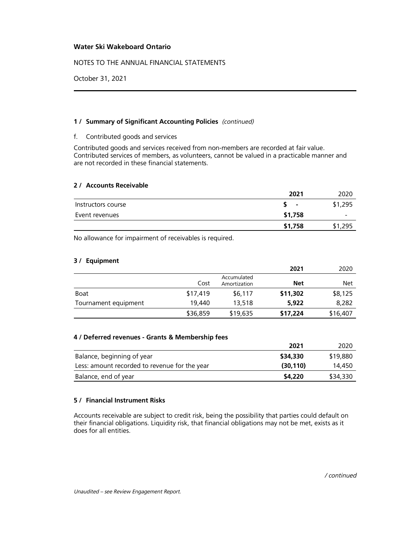NOTES TO THE ANNUAL FINANCIAL STATEMENTS

October 31, 2021

## **1 / Summary of Significant Accounting Policies** (continued)

## f. Contributed goods and services

Contributed goods and services received from non-members are recorded at fair value. Contributed services of members, as volunteers, cannot be valued in a practicable manner and are not recorded in these financial statements.

## **2 / Accounts Receivable**

|                    | 2021                     | 2020        |
|--------------------|--------------------------|-------------|
| Instructors course | $\overline{\phantom{0}}$ | \$1,295     |
| Event revenues     | \$1,758                  |             |
|                    | \$1,758                  | .295<br>\$1 |

No allowance for impairment of receivables is required.

## **3 / Equipment**

|                      |          |                             | 2021     | 2020     |
|----------------------|----------|-----------------------------|----------|----------|
|                      | Cost     | Accumulated<br>Amortization | Net      | Net      |
| Boat                 | \$17,419 | \$6,117                     | \$11,302 | \$8,125  |
| Tournament equipment | 19,440   | 13,518                      | 5,922    | 8,282    |
|                      | \$36,859 | \$19,635                    | \$17,224 | \$16,407 |

## **4 / Deferred revenues - Grants & Membership fees**

|                                               | 2021      | 2020     |
|-----------------------------------------------|-----------|----------|
| Balance, beginning of year                    | \$34,330  | \$19,880 |
| Less: amount recorded to revenue for the year | (30, 110) | 14,450   |
| Balance, end of year                          | \$4,220   | \$34,330 |

## **5 / Financial Instrument Risks**

Accounts receivable are subject to credit risk, being the possibility that parties could default on their financial obligations. Liquidity risk, that financial obligations may not be met, exists as it does for all entities.